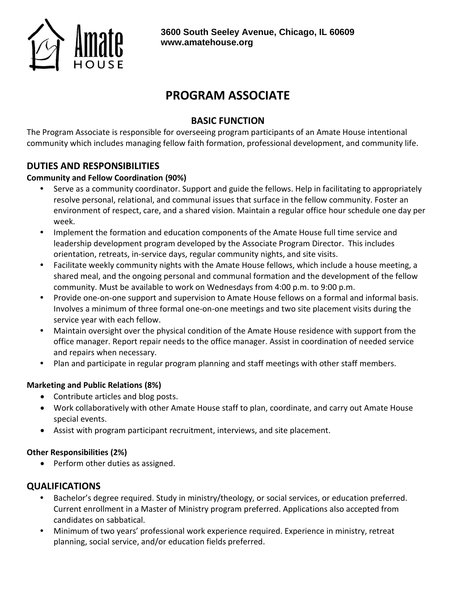

# **PROGRAM ASSOCIATE**

## **BASIC FUNCTION**

The Program Associate is responsible for overseeing program participants of an Amate House intentional community which includes managing fellow faith formation, professional development, and community life.

# **DUTIES AND RESPONSIBILITIES**

#### **Community and Fellow Coordination (90%)**

- **•** Serve as a community coordinator. Support and guide the fellows. Help in facilitating to appropriately resolve personal, relational, and communal issues that surface in the fellow community. Foster an environment of respect, care, and a shared vision. Maintain a regular office hour schedule one day per week.
- **•** Implement the formation and education components of the Amate House full time service and leadership development program developed by the Associate Program Director. This includes orientation, retreats, in-service days, regular community nights, and site visits.
- **•** Facilitate weekly community nights with the Amate House fellows, which include a house meeting, a shared meal, and the ongoing personal and communal formation and the development of the fellow community. Must be available to work on Wednesdays from 4:00 p.m. to 9:00 p.m.
- **•** Provide one-on-one support and supervision to Amate House fellows on a formal and informal basis. Involves a minimum of three formal one-on-one meetings and two site placement visits during the service year with each fellow.
- **•** Maintain oversight over the physical condition of the Amate House residence with support from the office manager. Report repair needs to the office manager. Assist in coordination of needed service and repairs when necessary.
- **•** Plan and participate in regular program planning and staff meetings with other staff members.

#### **Marketing and Public Relations (8%)**

- Contribute articles and blog posts.
- Work collaboratively with other Amate House staff to plan, coordinate, and carry out Amate House special events.
- Assist with program participant recruitment, interviews, and site placement.

#### **Other Responsibilities (2%)**

• Perform other duties as assigned.

## **QUALIFICATIONS**

- **•** Bachelor's degree required. Study in ministry/theology, or social services, or education preferred. Current enrollment in a Master of Ministry program preferred. Applications also accepted from candidates on sabbatical.
- **•** Minimum of two years' professional work experience required. Experience in ministry, retreat planning, social service, and/or education fields preferred.